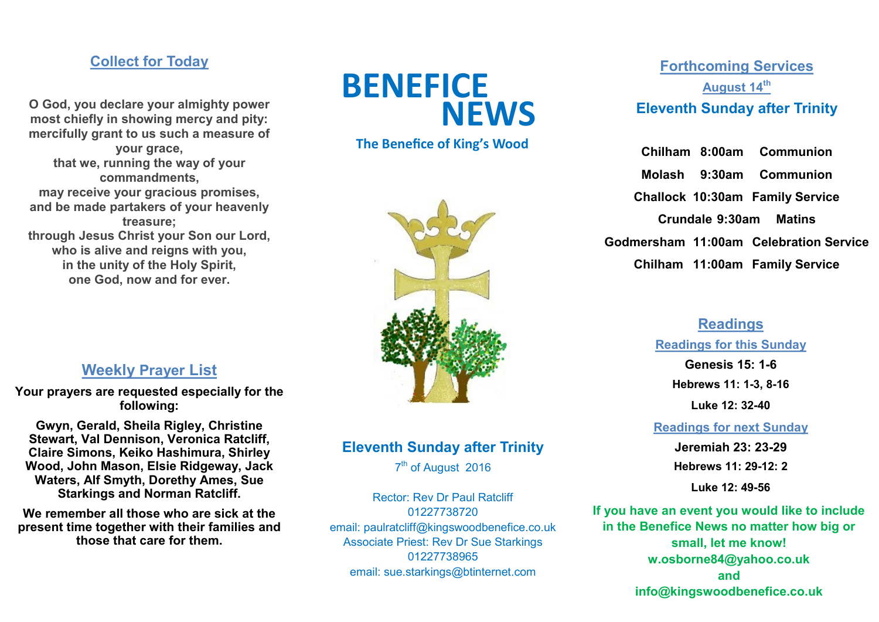## **Collect for Today**

**O God, you declare your almighty power most chiefly in showing mercy and pity: mercifully grant to us such a measure of your grace, that we, running the way of your commandments, may receive your gracious promises, and be made partakers of your heavenly treasure; through Jesus Christ your Son our Lord, who is alive and reigns with you, in the unity of the Holy Spirit, one God, now and for ever.**



## **The Benefice of King's Wood**



## **Weekly Prayer List**

**Your prayers are requested especially for the following:** 

**Gwyn, Gerald, Sheila Rigley, Christine Stewart, Val Dennison, Veronica Ratcliff, Claire Simons, Keiko Hashimura, Shirley Wood, John Mason, Elsie Ridgeway, Jack Waters, Alf Smyth, Dorethy Ames, Sue Starkings and Norman Ratcliff.**

**We remember all those who are sick at the present time together with their families and those that care for them.**

## **Eleventh Sunday after Trinity**

7<sup>th</sup> of August 2016

Rector: Rev Dr Paul Ratcliff 01227738720 email: paulratcliff@kingswoodbenefice.co.uk Associate Priest: Rev Dr Sue Starkings 01227738965 email: sue.starkings@btinternet.com

# **Forthcoming Services August 14th Eleventh Sunday after Trinity**

**Chilham 8:00am Communion Molash 9:30am Communion Challock 10:30am Family Service Crundale 9:30am Matins Godmersham 11:00am Celebration Service Chilham 11:00am Family Service**

## **Readings**

#### **Readings for this Sunday**

**Genesis 15: 1-6 Hebrews 11: 1-3, 8-16 Luke 12: 32-40**

**Readings for next Sunday**

**Jeremiah 23: 23-29 Hebrews 11: 29-12: 2**

**Luke 12: 49-56**

**If you have an event you would like to include in the Benefice News no matter how big or small, let me know! w.osborne84@yahoo.co.uk and info@kingswoodbenefice.co.uk**